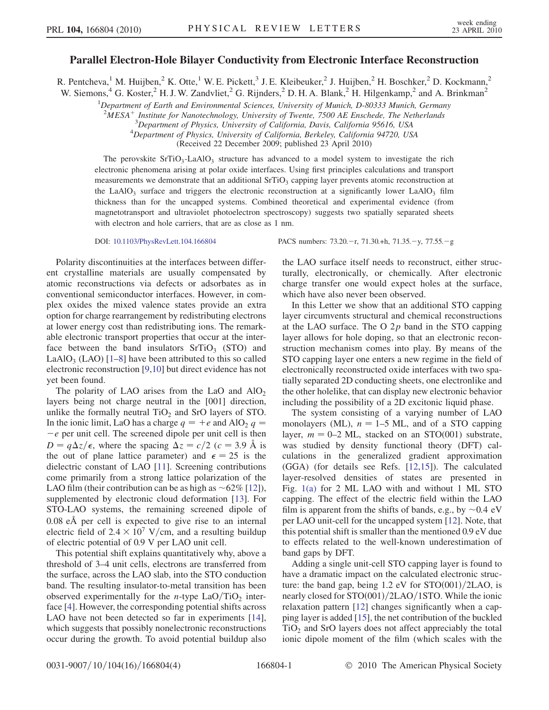## Parallel Electron-Hole Bilayer Conductivity from Electronic Interface Reconstruction

R. Pentcheva,<sup>1</sup> M. Huijben,<sup>2</sup> K. Otte,<sup>1</sup> W. E. Pickett,<sup>3</sup> J. E. Kleibeuker,<sup>2</sup> J. Huijben,<sup>2</sup> H. Boschker,<sup>2</sup> D. Kockmann,<sup>2</sup> W. Siemons,<sup>4</sup> G. Koster,<sup>2</sup> H. J. W. Zandvliet,<sup>2</sup> G. Rijnders,<sup>2</sup> D. H. A. Blank,<sup>2</sup> H. Hilgenkamp,<sup>2</sup> and A. Brinkman<sup>2</sup>

<sup>1</sup>Department of Earth and Environmental Sciences, University of Munich, D-80333 Munich, Germany

 $2\overline{M}ESA^+$  Institute for Nanotechnology, University of Twente, 7500 AE Enschede, The Netherlands

<sup>3</sup>Department of Physics, University of California, Davis, California 95616, USA<br><sup>4</sup>Department of Physics, University of California, Barkeley, California 94720, US

<sup>4</sup>Department of Physics, University of California, Berkeley, California 94720, USA

(Received 22 December 2009; published 23 April 2010)

The perovskite  $SrTiO<sub>3</sub>-LaAlO<sub>3</sub>$  structure has advanced to a model system to investigate the rich electronic phenomena arising at polar oxide interfaces. Using first principles calculations and transport measurements we demonstrate that an additional  $SrTiO<sub>3</sub>$  capping layer prevents atomic reconstruction at the LaAlO<sub>3</sub> surface and triggers the electronic reconstruction at a significantly lower LaAlO<sub>3</sub> film thickness than for the uncapped systems. Combined theoretical and experimental evidence (from magnetotransport and ultraviolet photoelectron spectroscopy) suggests two spatially separated sheets with electron and hole carriers, that are as close as 1 nm.

Polarity discontinuities at the interfaces between different crystalline materials are usually compensated by atomic reconstructions via defects or adsorbates as in conventional semiconductor interfaces. However, in complex oxides the mixed valence states provide an extra option for charge rearrangement by redistributing electrons at lower energy cost than redistributing ions. The remarkable electronic transport properties that occur at the interface between the band insulators  $SrTiO<sub>3</sub>$  (STO) and LaAlO<sub>3</sub> (LAO)  $[1-8]$  $[1-8]$  $[1-8]$  have been attributed to this so called electronic reconstruction [[9,](#page-3-2)[10\]](#page-3-3) but direct evidence has not yet been found.

The polarity of LAO arises from the LaO and  $AlO<sub>2</sub>$ layers being not charge neutral in the [001] direction, unlike the formally neutral  $TiO<sub>2</sub>$  and SrO layers of STO. In the ionic limit, LaO has a charge  $q = +e$  and AlO<sub>2</sub>  $q =$  $-e$  per unit cell. The screened dipole per unit cell is then  $D = q\Delta z/\epsilon$ , where the spacing  $\Delta z = c/2$  (c = 3.9 Å is the out of plane lattice parameter) and  $\epsilon = 25$  is the dielectric constant of LAO [\[11\]](#page-3-4). Screening contributions come primarily from a strong lattice polarization of the LAO film (their contribution can be as high as  $\sim 62\%$  [\[12](#page-3-5)]), supplemented by electronic cloud deformation [[13](#page-3-6)]. For STO-LAO systems, the remaining screened dipole of 0.08 eÅ per cell is expected to give rise to an internal electric field of  $2.4 \times 10^7$  V/cm, and a resulting buildup of electric potential of 0.9 V per LAO unit cell.

This potential shift explains quantitatively why, above a threshold of 3–4 unit cells, electrons are transferred from the surface, across the LAO slab, into the STO conduction band. The resulting insulator-to-metal transition has been observed experimentally for the *n*-type  $LaO/TiO<sub>2</sub>$  interface [\[4](#page-3-7)]. However, the corresponding potential shifts across LAO have not been detected so far in experiments [\[14\]](#page-3-8), which suggests that possibly nonelectronic reconstructions occur during the growth. To avoid potential buildup also

DOI: [10.1103/PhysRevLett.104.166804](http://dx.doi.org/10.1103/PhysRevLett.104.166804) PACS numbers: 73.20.-r, 71.30.+h, 71.35.-y, 77.55.-g

the LAO surface itself needs to reconstruct, either structurally, electronically, or chemically. After electronic charge transfer one would expect holes at the surface, which have also never been observed.

In this Letter we show that an additional STO capping layer circumvents structural and chemical reconstructions at the LAO surface. The O  $2p$  band in the STO capping layer allows for hole doping, so that an electronic reconstruction mechanism comes into play. By means of the STO capping layer one enters a new regime in the field of electronically reconstructed oxide interfaces with two spatially separated 2D conducting sheets, one electronlike and the other holelike, that can display new electronic behavior including the possibility of a 2D excitonic liquid phase.

The system consisting of a varying number of LAO monolayers (ML),  $n = 1-5$  ML, and of a STO capping layer,  $m = 0-2$  ML, stacked on an STO(001) substrate, was studied by density functional theory (DFT) calculations in the generalized gradient approximation (GGA) (for details see Refs. [\[12](#page-3-5)[,15\]](#page-3-9)). The calculated layer-resolved densities of states are presented in Fig. [1\(a\)](#page-1-0) for 2 ML LAO with and without 1 ML STO capping. The effect of the electric field within the LAO film is apparent from the shifts of bands, e.g., by  $\sim 0.4$  eV per LAO unit-cell for the uncapped system [[12](#page-3-5)]. Note, that this potential shift is smaller than the mentioned 0.9 eV due to effects related to the well-known underestimation of band gaps by DFT.

Adding a single unit-cell STO capping layer is found to have a dramatic impact on the calculated electronic structure: the band gap, being  $1.2$  eV for STO $(001)/2LAO$ , is nearly closed for  $STO(001)/2LAO/1STO$ . While the ionic relaxation pattern [[12](#page-3-5)] changes significantly when a capping layer is added [[15](#page-3-9)], the net contribution of the buckled  $TiO<sub>2</sub>$  and SrO layers does not affect appreciably the total ionic dipole moment of the film (which scales with the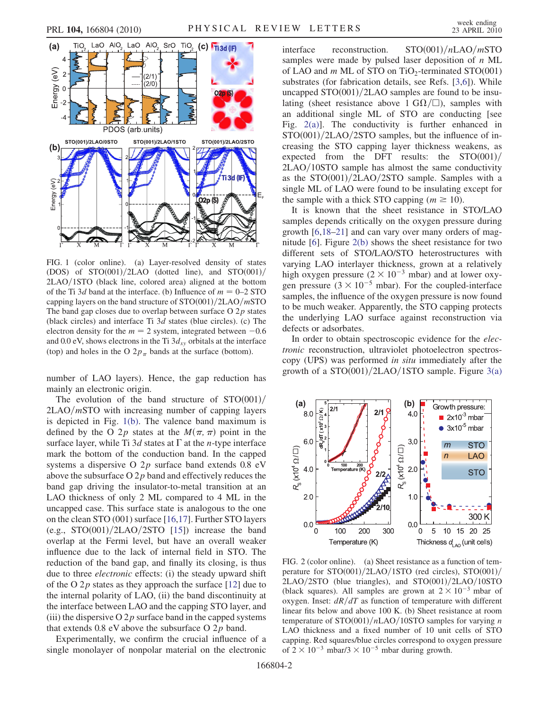<span id="page-1-2"></span>

<span id="page-1-0"></span>FIG. 1 (color online). (a) Layer-resolved density of states (DOS) of  $STO(001)/2LAO$  (dotted line), and  $STO(001)/$  $2LAO/1STO$  (black line, colored area) aligned at the bottom of the Ti 3d band at the interface. (b) Influence of  $m = 0-2$  STO capping layers on the band structure of  $STO(001)/2LAO/mSTO$ The band gap closes due to overlap between surface  $O(2p)$  states (black circles) and interface Ti 3d states (blue circles). (c) The electron density for the  $m = 2$  system, integrated between  $-0.6$ and 0.0 eV, shows electrons in the Ti  $3d_{xy}$  orbitals at the interface (top) and holes in the O  $2p_\pi$  bands at the surface (bottom).

number of LAO layers). Hence, the gap reduction has mainly an electronic origin.

The evolution of the band structure of  $STO(001)/$  $2LAO/mSTO$  with increasing number of capping layers is depicted in Fig. [1\(b\)](#page-1-0). The valence band maximum is defined by the O 2p states at the  $M(\pi, \pi)$  point in the surface layer, while Ti  $3d$  states at  $\Gamma$  at the *n*-type interface mark the bottom of the conduction band. In the capped systems a dispersive O 2p surface band extends 0.8 eV above the subsurface  $O 2p$  band and effectively reduces the band gap driving the insulator-to-metal transition at an LAO thickness of only 2 ML compared to 4 ML in the uncapped case. This surface state is analogous to the one on the clean STO (001) surface [[16](#page-3-10),[17](#page-3-11)]. Further STO layers (e.g.,  $STO(001)/2LAO/2STO$  [\[15\]](#page-3-9)) increase the band overlap at the Fermi level, but have an overall weaker influence due to the lack of internal field in STO. The reduction of the band gap, and finally its closing, is thus due to three electronic effects: (i) the steady upward shift of the O  $2p$  states as they approach the surface [\[12\]](#page-3-5) due to the internal polarity of LAO, (ii) the band discontinuity at the interface between LAO and the capping STO layer, and (iii) the dispersive  $O 2p$  surface band in the capped systems that extends  $0.8$  eV above the subsurface O  $2p$  band.

Experimentally, we confirm the crucial influence of a single monolayer of nonpolar material on the electronic interface reconstruction.  $STO(001)/nLAO/mSTO$ samples were made by pulsed laser deposition of  $n$  ML of LAO and  $m$  ML of STO on TiO<sub>2</sub>-terminated STO(001) substrates (for fabrication details, see Refs. [\[3](#page-3-12),[6](#page-3-13)]). While uncapped  $STO(001)/2LAO$  samples are found to be insulating (sheet resistance above 1 G $\Omega/\square$ ), samples with an additional single ML of STO are conducting [see Fig. [2\(a\)](#page-1-1)]. The conductivity is further enhanced in  $STO(001)/2LAO/2STO$  samples, but the influence of increasing the STO capping layer thickness weakens, as expected from the DFT results: the  $STO(001)/$  $2LAO/10STO$  sample has almost the same conductivity as the  $STO(001)/2LAO/2STO$  sample. Samples with a single ML of LAO were found to be insulating except for the sample with a thick STO capping ( $m \ge 10$ ).

It is known that the sheet resistance in STO/LAO samples depends critically on the oxygen pressure during growth [\[6](#page-3-13),[18](#page-3-14)–[21\]](#page-3-15) and can vary over many orders of magnitude [\[6](#page-3-13)]. Figure [2\(b\)](#page-1-1) shows the sheet resistance for two different sets of STO/LAO/STO heterostructures with varying LAO interlayer thickness, grown at a relatively high oxygen pressure  $(2 \times 10^{-3} \text{ mbar})$  and at lower oxygen pressure  $(3 \times 10^{-5} \text{ mbar})$ . For the coupled-interface samples, the influence of the oxygen pressure is now found to be much weaker. Apparently, the STO capping protects the underlying LAO surface against reconstruction via defects or adsorbates.

In order to obtain spectroscopic evidence for the electronic reconstruction, ultraviolet photoelectron spectroscopy (UPS) was performed in situ immediately after the growth of a  $STO(001)/2LAO/1STO$  sample. Figure [3\(a\)](#page-2-0)



<span id="page-1-1"></span>FIG. 2 (color online). (a) Sheet resistance as a function of temperature for  $STO(001)/2LAO/1STO$  (red circles),  $STO(001)/$  $2LAO/2STO$  (blue triangles), and  $STO(001)/2LAO/10STO$ (black squares). All samples are grown at  $2 \times 10^{-3}$  mbar of oxygen. Inset:  $dR/dT$  as function of temperature with different linear fits below and above 100 K. (b) Sheet resistance at room temperature of  $STO(001)/nLAO/10STO$  samples for varying n LAO thickness and a fixed number of 10 unit cells of STO capping. Red squares/blue circles correspond to oxygen pressure of  $2 \times 10^{-3}$  mbar/3  $\times 10^{-5}$  mbar during growth.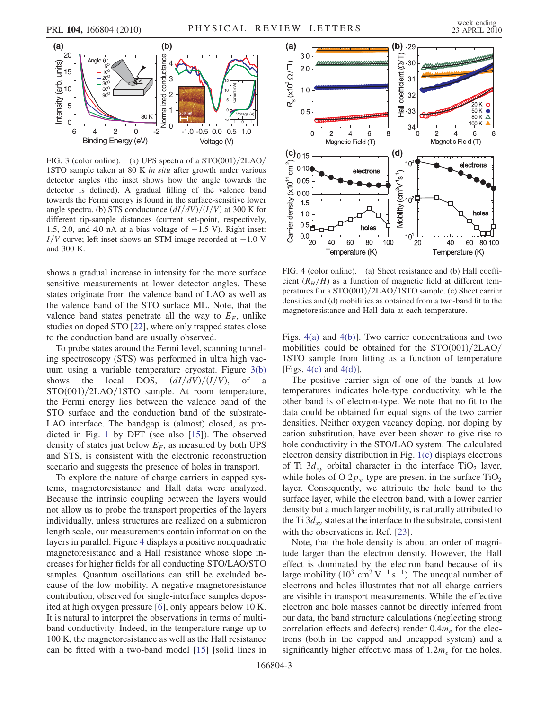

<span id="page-2-0"></span>FIG. 3 (color online). (a) UPS spectra of a  $STO(001)/2LAO/$ 1STO sample taken at 80 K in situ after growth under various detector angles (the inset shows how the angle towards the detector is defined). A gradual filling of the valence band towards the Fermi energy is found in the surface-sensitive lower angle spectra. (b) STS conductance  $\frac{dI}{dV}$  $\frac{dV}{I}$  $\frac{dV}{V}$  at 300 K for different tip-sample distances (current set-point, respectively, 1.5, 2.0, and 4.0 nA at a bias voltage of  $-1.5$  V). Right inset:  $I/V$  curve; left inset shows an STM image recorded at  $-1.0$  V and 300 K.

shows a gradual increase in intensity for the more surface sensitive measurements at lower detector angles. These states originate from the valence band of LAO as well as the valence band of the STO surface ML. Note, that the valence band states penetrate all the way to  $E_F$ , unlike studies on doped STO [[22](#page-3-16)], where only trapped states close to the conduction band are usually observed.

To probe states around the Fermi level, scanning tunneling spectroscopy (STS) was performed in ultra high vacuum using a variable temperature cryostat. Figure [3\(b\)](#page-2-0) shows the local DOS,  $\frac{dI}{dV}$  $\frac{V}{V}$ , of a  $STO(001)/2LAO/1STO$  sample. At room temperature, the Fermi energy lies between the valence band of the STO surface and the conduction band of the substrate-LAO interface. The bandgap is (almost) closed, as predicted in Fig. [1](#page-1-2) by DFT (see also [\[15\]](#page-3-9)). The observed density of states just below  $E_F$ , as measured by both UPS and STS, is consistent with the electronic reconstruction scenario and suggests the presence of holes in transport.

To explore the nature of charge carriers in capped systems, magnetoresistance and Hall data were analyzed. Because the intrinsic coupling between the layers would not allow us to probe the transport properties of the layers individually, unless structures are realized on a submicron length scale, our measurements contain information on the layers in parallel. Figure [4](#page-2-1) displays a positive nonquadratic magnetoresistance and a Hall resistance whose slope increases for higher fields for all conducting STO/LAO/STO samples. Quantum oscillations can still be excluded because of the low mobility. A negative magnetoresistance contribution, observed for single-interface samples deposited at high oxygen pressure [\[6](#page-3-13)], only appears below 10 K. It is natural to interpret the observations in terms of multiband conductivity. Indeed, in the temperature range up to 100 K, the magnetoresistance as well as the Hall resistance can be fitted with a two-band model [\[15](#page-3-9)] [solid lines in

<span id="page-2-1"></span>

<span id="page-2-2"></span>FIG. 4 (color online). (a) Sheet resistance and (b) Hall coefficient  $(R_H/H)$  as a function of magnetic field at different temperatures for a STO $(001)/2$ LAO $/1$ STO sample. (c) Sheet carrier densities and (d) mobilities as obtained from a two-band fit to the magnetoresistance and Hall data at each temperature.

Figs. [4\(a\)](#page-2-2) and [4\(b\)\]](#page-2-2). Two carrier concentrations and two mobilities could be obtained for the  $STO(001)/2LAO/$ 1STO sample from fitting as a function of temperature [Figs.  $4(c)$  and  $4(d)$ ].

The positive carrier sign of one of the bands at low temperatures indicates hole-type conductivity, while the other band is of electron-type. We note that no fit to the data could be obtained for equal signs of the two carrier densities. Neither oxygen vacancy doping, nor doping by cation substitution, have ever been shown to give rise to hole conductivity in the STO/LAO system. The calculated electron density distribution in Fig. [1\(c\)](#page-1-0) displays electrons of Ti  $3d_{xy}$  orbital character in the interface TiO<sub>2</sub> layer, while holes of O  $2p_{\pi}$  type are present in the surface TiO<sub>2</sub> layer. Consequently, we attribute the hole band to the surface layer, while the electron band, with a lower carrier density but a much larger mobility, is naturally attributed to the Ti  $3d_{xy}$  states at the interface to the substrate, consistent with the observations in Ref. [[23](#page-3-17)].

Note, that the hole density is about an order of magnitude larger than the electron density. However, the Hall effect is dominated by the electron band because of its large mobility  $(10^3 \text{ cm}^2 \text{ V}^{-1} \text{ s}^{-1})$ . The unequal number of electrons and holes illustrates that not all charge carriers are visible in transport measurements. While the effective electron and hole masses cannot be directly inferred from our data, the band structure calculations (neglecting strong correlation effects and defects) render  $0.4m<sub>e</sub>$  for the electrons (both in the capped and uncapped system) and a significantly higher effective mass of  $1.2m_e$  for the holes.